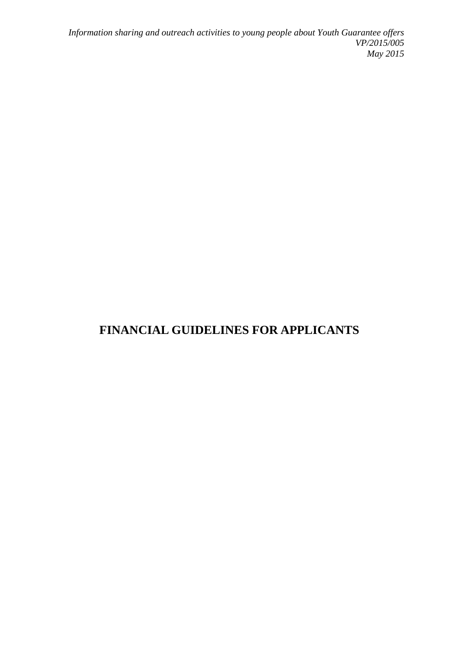*Information sharing and outreach activities to young people about Youth Guarantee offers VP/2015/005 May 2015*

# **FINANCIAL GUIDELINES FOR APPLICANTS**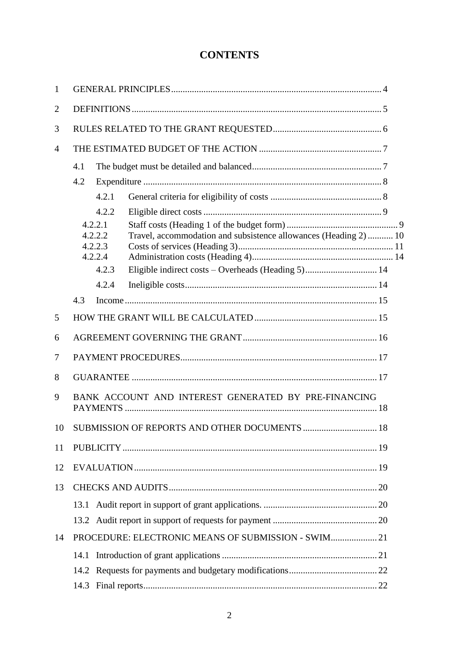## **CONTENTS**

| $\mathbf{1}$   |                                                      |                                                   |                                                                                                                       |    |  |  |  |
|----------------|------------------------------------------------------|---------------------------------------------------|-----------------------------------------------------------------------------------------------------------------------|----|--|--|--|
| $\overline{2}$ |                                                      |                                                   |                                                                                                                       |    |  |  |  |
| 3              |                                                      |                                                   |                                                                                                                       |    |  |  |  |
| $\overline{4}$ |                                                      |                                                   |                                                                                                                       |    |  |  |  |
|                | 4.1                                                  |                                                   |                                                                                                                       |    |  |  |  |
|                | 4.2                                                  |                                                   |                                                                                                                       |    |  |  |  |
|                |                                                      | 4.2.1                                             |                                                                                                                       |    |  |  |  |
|                |                                                      | 4.2.2                                             |                                                                                                                       |    |  |  |  |
|                |                                                      | 4.2.2.1<br>4.2.2.2<br>4.2.2.3<br>4.2.2.4<br>4.2.3 | Travel, accommodation and subsistence allowances (Heading 2) 10<br>Eligible indirect costs - Overheads (Heading 5) 14 |    |  |  |  |
|                |                                                      | 4.2.4                                             |                                                                                                                       |    |  |  |  |
|                | 4.3                                                  |                                                   |                                                                                                                       |    |  |  |  |
|                |                                                      |                                                   |                                                                                                                       |    |  |  |  |
| 5              |                                                      |                                                   |                                                                                                                       |    |  |  |  |
| 6              |                                                      |                                                   |                                                                                                                       |    |  |  |  |
| 7              |                                                      |                                                   |                                                                                                                       |    |  |  |  |
| 8              |                                                      |                                                   |                                                                                                                       |    |  |  |  |
| 9              | BANK ACCOUNT AND INTEREST GENERATED BY PRE-FINANCING |                                                   |                                                                                                                       |    |  |  |  |
|                |                                                      |                                                   | 10 SUBMISSION OF REPORTS AND OTHER DOCUMENTS                                                                          | 18 |  |  |  |
| 11             |                                                      |                                                   |                                                                                                                       |    |  |  |  |
| 12             |                                                      |                                                   |                                                                                                                       |    |  |  |  |
| 13             |                                                      |                                                   |                                                                                                                       |    |  |  |  |
|                | 13.1                                                 |                                                   |                                                                                                                       |    |  |  |  |
|                |                                                      |                                                   |                                                                                                                       |    |  |  |  |
| 14             |                                                      |                                                   | PROCEDURE: ELECTRONIC MEANS OF SUBMISSION - SWIM 21                                                                   |    |  |  |  |
|                | 14.1                                                 |                                                   |                                                                                                                       |    |  |  |  |
|                |                                                      |                                                   |                                                                                                                       |    |  |  |  |
|                | 14.3                                                 |                                                   |                                                                                                                       |    |  |  |  |
|                |                                                      |                                                   |                                                                                                                       |    |  |  |  |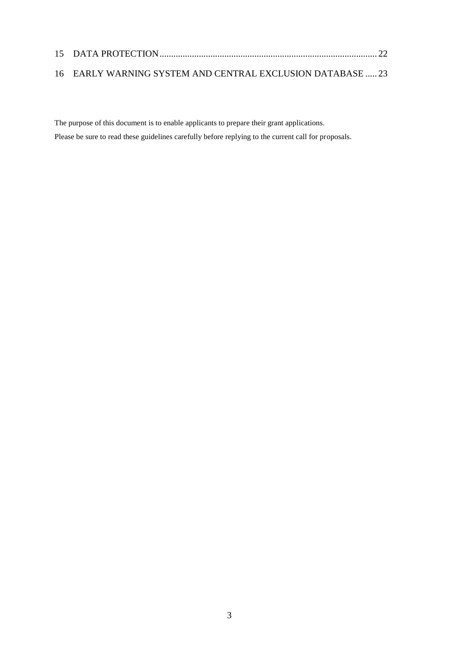| 16 EARLY WARNING SYSTEM AND CENTRAL EXCLUSION DATABASE  23 |  |  |  |
|------------------------------------------------------------|--|--|--|

The purpose of this document is to enable applicants to prepare their grant applications. Please be sure to read these guidelines carefully before replying to the current call for proposals.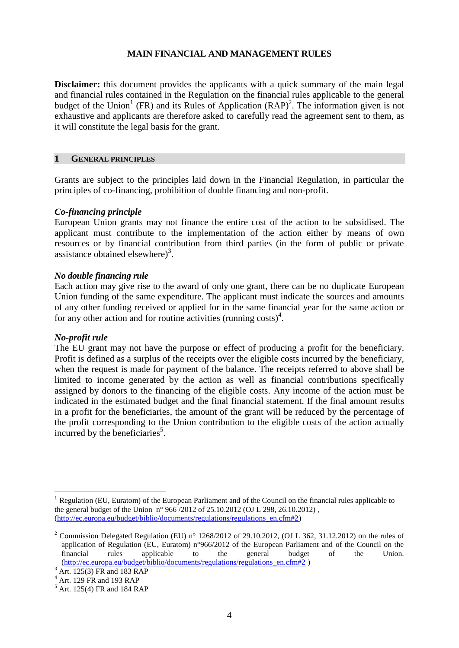#### **MAIN FINANCIAL AND MANAGEMENT RULES**

**Disclaimer:** this document provides the applicants with a quick summary of the main legal and financial rules contained in the Regulation on the financial rules applicable to the general budget of the Union<sup>1</sup> (FR) and its Rules of Application  $(RAP)^2$ . The information given is not exhaustive and applicants are therefore asked to carefully read the agreement sent to them, as it will constitute the legal basis for the grant.

#### **1 GENERAL PRINCIPLES**

Grants are subject to the principles laid down in the Financial Regulation, in particular the principles of co-financing, prohibition of double financing and non-profit.

#### *Co-financing principle*

European Union grants may not finance the entire cost of the action to be subsidised. The applicant must contribute to the implementation of the action either by means of own resources or by financial contribution from third parties (in the form of public or private assistance obtained elsewhere) $3$ .

#### *No double financing rule*

Each action may give rise to the award of only one grant, there can be no duplicate European Union funding of the same expenditure. The applicant must indicate the sources and amounts of any other funding received or applied for in the same financial year for the same action or for any other action and for routine activities (running costs)<sup>4</sup>.

#### *No-profit rule*

1

The EU grant may not have the purpose or effect of producing a profit for the beneficiary. Profit is defined as a surplus of the receipts over the eligible costs incurred by the beneficiary, when the request is made for payment of the balance. The receipts referred to above shall be limited to income generated by the action as well as financial contributions specifically assigned by donors to the financing of the eligible costs. Any income of the action must be indicated in the estimated budget and the final financial statement. If the final amount results in a profit for the beneficiaries, the amount of the grant will be reduced by the percentage of the profit corresponding to the Union contribution to the eligible costs of the action actually incurred by the beneficiaries<sup>5</sup>.

 $1$  Regulation (EU, Euratom) of the European Parliament and of the Council on the financial rules applicable to the general budget of the Union n° 966 /2012 of 25.10.2012 (OJ L 298, 26.10.2012) , [\(http://ec.europa.eu/budget/biblio/documents/regulations/regulations\\_en.cfm#2\)](http://ec.europa.eu/budget/biblio/documents/regulations/regulations_en.cfm#2)

<sup>&</sup>lt;sup>2</sup> Commission Delegated Regulation (EU) n° 1268/2012 of 29.10.2012, (OJ L 362, 31.12.2012) on the rules of application of Regulation (EU, Euratom) n°966/2012 of the European Parliament and of the Council on the financial rules applicable to the general budget of the Union. financial rules applicable to the general budget of the Union. [\(http://ec.europa.eu/budget/biblio/documents/regulations/regulations\\_en.cfm#2](http://ec.europa.eu/budget/biblio/documents/regulations/regulations_en.cfm#2) )

<sup>&</sup>lt;sup>3</sup> Art. 125(3) FR and 183 RAP

<sup>4</sup> Art. 129 FR and 193 RAP

<sup>5</sup> Art. 125(4) FR and 184 RAP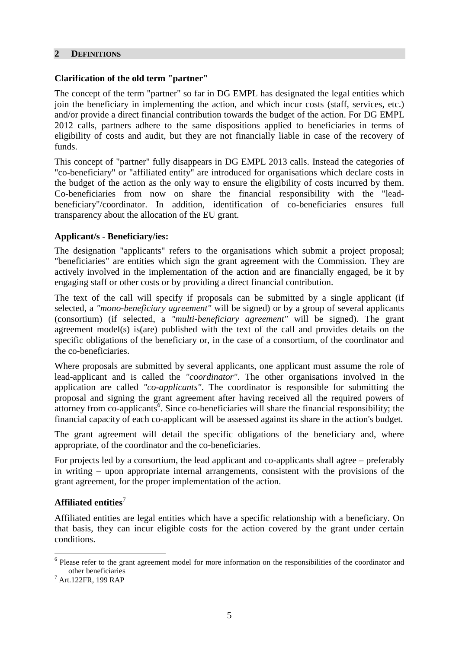#### **2 DEFINITIONS**

## **Clarification of the old term "partner"**

The concept of the term "partner" so far in DG EMPL has designated the legal entities which join the beneficiary in implementing the action, and which incur costs (staff, services, etc.) and/or provide a direct financial contribution towards the budget of the action. For DG EMPL 2012 calls, partners adhere to the same dispositions applied to beneficiaries in terms of eligibility of costs and audit, but they are not financially liable in case of the recovery of funds.

This concept of "partner" fully disappears in DG EMPL 2013 calls. Instead the categories of "co-beneficiary" or "affiliated entity" are introduced for organisations which declare costs in the budget of the action as the only way to ensure the eligibility of costs incurred by them. Co-beneficiaries from now on share the financial responsibility with the "leadbeneficiary"/coordinator. In addition, identification of co-beneficiaries ensures full transparency about the allocation of the EU grant.

### **Applicant/s - Beneficiary/ies:**

The designation "applicants" refers to the organisations which submit a project proposal; "beneficiaries" are entities which sign the grant agreement with the Commission. They are actively involved in the implementation of the action and are financially engaged, be it by engaging staff or other costs or by providing a direct financial contribution.

The text of the call will specify if proposals can be submitted by a single applicant (if selected, a *"mono-beneficiary agreement"* will be signed) or by a group of several applicants (consortium) (if selected, a *"multi-beneficiary agreement"* will be signed). The grant agreement model(s) is(are) published with the text of the call and provides details on the specific obligations of the beneficiary or, in the case of a consortium, of the coordinator and the co-beneficiaries.

Where proposals are submitted by several applicants, one applicant must assume the role of lead-applicant and is called the *"coordinator"*. The other organisations involved in the application are called *"co-applicants"*. The coordinator is responsible for submitting the proposal and signing the grant agreement after having received all the required powers of attorney from co-applicants<sup>6</sup>. Since co-beneficiaries will share the financial responsibility; the financial capacity of each co-applicant will be assessed against its share in the action's budget.

The grant agreement will detail the specific obligations of the beneficiary and, where appropriate, of the coordinator and the co-beneficiaries.

For projects led by a consortium, the lead applicant and co-applicants shall agree – preferably in writing – upon appropriate internal arrangements, consistent with the provisions of the grant agreement, for the proper implementation of the action.

## **Affiliated entities**<sup>7</sup>

Affiliated entities are legal entities which have a specific relationship with a beneficiary. On that basis, they can incur eligible costs for the action covered by the grant under certain conditions.

<sup>&</sup>lt;sup>6</sup> Please refer to the grant agreement model for more information on the responsibilities of the coordinator and other beneficiaries

<sup>7</sup> Art.122FR, 199 RAP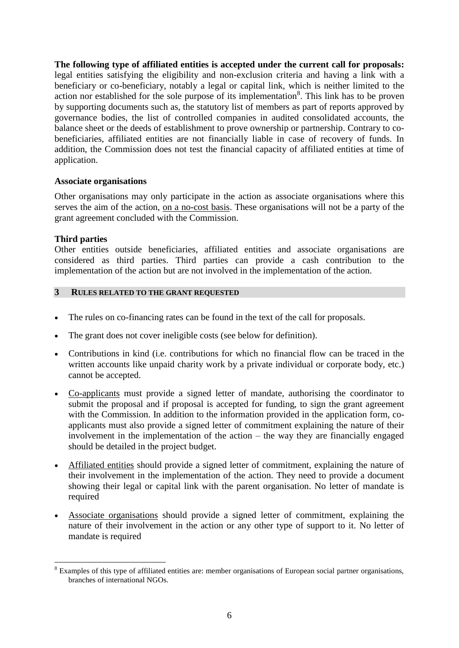**The following type of affiliated entities is accepted under the current call for proposals:**  legal entities satisfying the eligibility and non-exclusion criteria and having a link with a beneficiary or co-beneficiary, notably a legal or capital link, which is neither limited to the action nor established for the sole purpose of its implementation<sup>8</sup>. This link has to be proven by supporting documents such as, the statutory list of members as part of reports approved by governance bodies, the list of controlled companies in audited consolidated accounts, the balance sheet or the deeds of establishment to prove ownership or partnership. Contrary to cobeneficiaries, affiliated entities are not financially liable in case of recovery of funds. In addition, the Commission does not test the financial capacity of affiliated entities at time of application.

### **Associate organisations**

Other organisations may only participate in the action as associate organisations where this serves the aim of the action, on a no-cost basis. These organisations will not be a party of the grant agreement concluded with the Commission.

### **Third parties**

<u>.</u>

Other entities outside beneficiaries, affiliated entities and associate organisations are considered as third parties. Third parties can provide a cash contribution to the implementation of the action but are not involved in the implementation of the action.

### **3 RULES RELATED TO THE GRANT REQUESTED**

- The rules on co-financing rates can be found in the text of the call for proposals.
- The grant does not cover ineligible costs (see below for definition).
- Contributions in kind (i.e. contributions for which no financial flow can be traced in the written accounts like unpaid charity work by a private individual or corporate body, etc.) cannot be accepted.
- Co-applicants must provide a signed letter of mandate, authorising the coordinator to submit the proposal and if proposal is accepted for funding, to sign the grant agreement with the Commission. In addition to the information provided in the application form, coapplicants must also provide a signed letter of commitment explaining the nature of their involvement in the implementation of the action – the way they are financially engaged should be detailed in the project budget.
- Affiliated entities should provide a signed letter of commitment, explaining the nature of their involvement in the implementation of the action. They need to provide a document showing their legal or capital link with the parent organisation. No letter of mandate is required
- Associate organisations should provide a signed letter of commitment, explaining the nature of their involvement in the action or any other type of support to it. No letter of mandate is required

<sup>&</sup>lt;sup>8</sup> Examples of this type of affiliated entities are: member organisations of European social partner organisations, branches of international NGOs.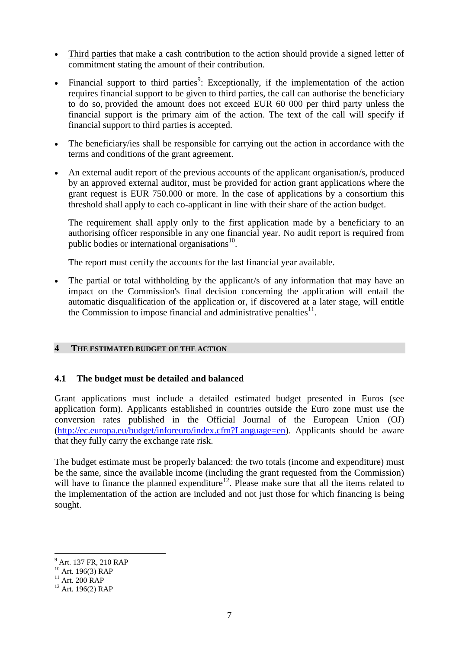- Third parties that make a cash contribution to the action should provide a signed letter of commitment stating the amount of their contribution.
- $\bullet$  Financial support to third parties<sup>9</sup>: Exceptionally, if the implementation of the action requires financial support to be given to third parties, the call can authorise the beneficiary to do so, provided the amount does not exceed EUR 60 000 per third party unless the financial support is the primary aim of the action. The text of the call will specify if financial support to third parties is accepted.
- The beneficiary/ies shall be responsible for carrying out the action in accordance with the terms and conditions of the grant agreement.
- An external audit report of the previous accounts of the applicant organisation/s, produced by an approved external auditor, must be provided for action grant applications where the grant request is EUR 750.000 or more. In the case of applications by a consortium this threshold shall apply to each co-applicant in line with their share of the action budget.

The requirement shall apply only to the first application made by a beneficiary to an authorising officer responsible in any one financial year. No audit report is required from public bodies or international organisations<sup>10</sup>.

The report must certify the accounts for the last financial year available.

 The partial or total withholding by the applicant/s of any information that may have an impact on the Commission's final decision concerning the application will entail the automatic disqualification of the application or, if discovered at a later stage, will entitle the Commission to impose financial and administrative penalties $11$ .

#### **4 THE ESTIMATED BUDGET OF THE ACTION**

## **4.1 The budget must be detailed and balanced**

Grant applications must include a detailed estimated budget presented in Euros (see application form). Applicants established in countries outside the Euro zone must use the conversion rates published in the Official Journal of the European Union (OJ) [\(http://ec.europa.eu/budget/inforeuro/index.cfm?Language=en\)](http://ec.europa.eu/budget/inforeuro/index.cfm?Language=en). Applicants should be aware that they fully carry the exchange rate risk.

The budget estimate must be properly balanced: the two totals (income and expenditure) must be the same, since the available income (including the grant requested from the Commission) will have to finance the planned expenditure<sup>12</sup>. Please make sure that all the items related to the implementation of the action are included and not just those for which financing is being sought.

<sup>9</sup> Art. 137 FR, 210 RAP

 $10$  Art. 196(3) RAP

 $11$  Art. 200 RAP

 $12$  Art. 196(2) RAP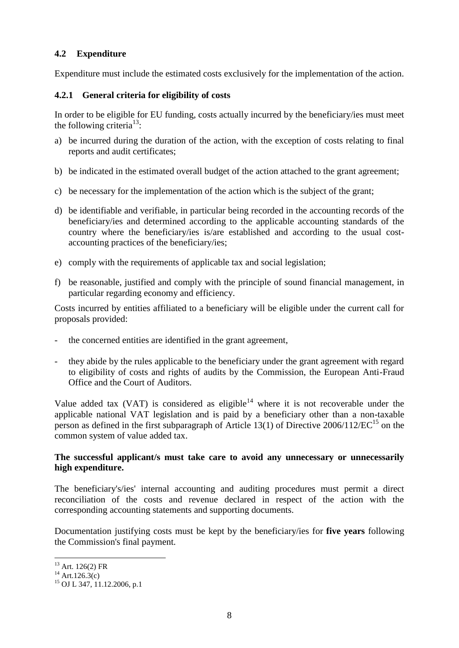## **4.2 Expenditure**

Expenditure must include the estimated costs exclusively for the implementation of the action.

## **4.2.1 General criteria for eligibility of costs**

In order to be eligible for EU funding, costs actually incurred by the beneficiary/ies must meet the following criteria<sup>13</sup>:

- a) be incurred during the duration of the action, with the exception of costs relating to final reports and audit certificates;
- b) be indicated in the estimated overall budget of the action attached to the grant agreement;
- c) be necessary for the implementation of the action which is the subject of the grant;
- d) be identifiable and verifiable, in particular being recorded in the accounting records of the beneficiary/ies and determined according to the applicable accounting standards of the country where the beneficiary/ies is/are established and according to the usual costaccounting practices of the beneficiary/ies;
- e) comply with the requirements of applicable tax and social legislation;
- f) be reasonable, justified and comply with the principle of sound financial management, in particular regarding economy and efficiency.

Costs incurred by entities affiliated to a beneficiary will be eligible under the current call for proposals provided:

- the concerned entities are identified in the grant agreement,
- they abide by the rules applicable to the beneficiary under the grant agreement with regard to eligibility of costs and rights of audits by the Commission, the European Anti-Fraud Office and the Court of Auditors.

Value added tax (VAT) is considered as eligible<sup>14</sup> where it is not recoverable under the applicable national VAT legislation and is paid by a beneficiary other than a non-taxable person as defined in the first subparagraph of Article 13(1) of Directive  $2006/112/EC^{15}$  on the common system of value added tax.

### **The successful applicant/s must take care to avoid any unnecessary or unnecessarily high expenditure.**

The beneficiary's/ies' internal accounting and auditing procedures must permit a direct reconciliation of the costs and revenue declared in respect of the action with the corresponding accounting statements and supporting documents.

Documentation justifying costs must be kept by the beneficiary/ies for **five years** following the Commission's final payment.

 $13$  Art. 126(2) FR

 $14$  Art.126.3(c)

<sup>15</sup> OJ L 347, 11.12.2006, p.1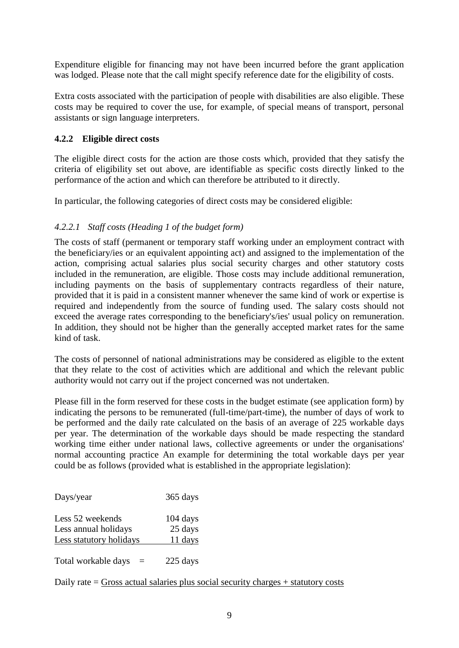Expenditure eligible for financing may not have been incurred before the grant application was lodged. Please note that the call might specify reference date for the eligibility of costs.

Extra costs associated with the participation of people with disabilities are also eligible. These costs may be required to cover the use, for example, of special means of transport, personal assistants or sign language interpreters.

## **4.2.2 Eligible direct costs**

The eligible direct costs for the action are those costs which, provided that they satisfy the criteria of eligibility set out above, are identifiable as specific costs directly linked to the performance of the action and which can therefore be attributed to it directly.

In particular, the following categories of direct costs may be considered eligible:

## *4.2.2.1 Staff costs (Heading 1 of the budget form)*

The costs of staff (permanent or temporary staff working under an employment contract with the beneficiary/ies or an equivalent appointing act) and assigned to the implementation of the action, comprising actual salaries plus social security charges and other statutory costs included in the remuneration, are eligible. Those costs may include additional remuneration, including payments on the basis of supplementary contracts regardless of their nature, provided that it is paid in a consistent manner whenever the same kind of work or expertise is required and independently from the source of funding used. The salary costs should not exceed the average rates corresponding to the beneficiary's/ies' usual policy on remuneration. In addition, they should not be higher than the generally accepted market rates for the same kind of task.

The costs of personnel of national administrations may be considered as eligible to the extent that they relate to the cost of activities which are additional and which the relevant public authority would not carry out if the project concerned was not undertaken.

Please fill in the form reserved for these costs in the budget estimate (see application form) by indicating the persons to be remunerated (full-time/part-time), the number of days of work to be performed and the daily rate calculated on the basis of an average of 225 workable days per year. The determination of the workable days should be made respecting the standard working time either under national laws, collective agreements or under the organisations' normal accounting practice An example for determining the total workable days per year could be as follows (provided what is established in the appropriate legislation):

| Days/year                                                           | 365 days                         |
|---------------------------------------------------------------------|----------------------------------|
| Less 52 weekends<br>Less annual holidays<br>Less statutory holidays | $104$ days<br>25 days<br>11 days |
| Total workable days<br>$=$                                          | 225 days                         |

Daily rate  $=$  Gross actual salaries plus social security charges  $+$  statutory costs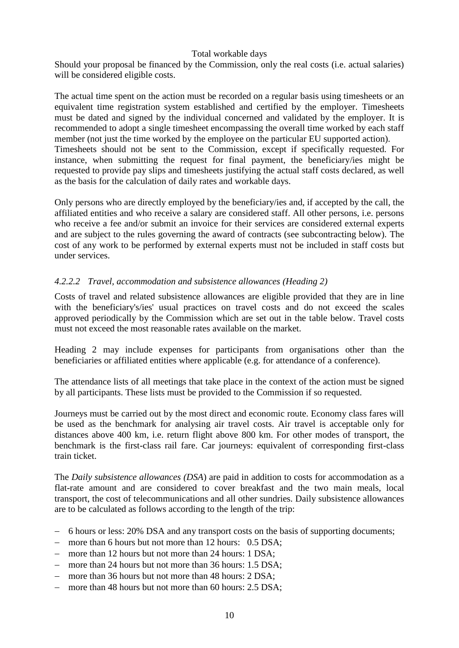#### Total workable days

Should your proposal be financed by the Commission, only the real costs (i.e. actual salaries) will be considered eligible costs.

The actual time spent on the action must be recorded on a regular basis using timesheets or an equivalent time registration system established and certified by the employer. Timesheets must be dated and signed by the individual concerned and validated by the employer. It is recommended to adopt a single timesheet encompassing the overall time worked by each staff member (not just the time worked by the employee on the particular EU supported action). Timesheets should not be sent to the Commission, except if specifically requested. For instance, when submitting the request for final payment, the beneficiary/ies might be requested to provide pay slips and timesheets justifying the actual staff costs declared, as well as the basis for the calculation of daily rates and workable days.

Only persons who are directly employed by the beneficiary/ies and, if accepted by the call, the affiliated entities and who receive a salary are considered staff. All other persons, i.e. persons who receive a fee and/or submit an invoice for their services are considered external experts and are subject to the rules governing the award of contracts (see subcontracting below). The cost of any work to be performed by external experts must not be included in staff costs but under services.

### *4.2.2.2 Travel, accommodation and subsistence allowances (Heading 2)*

Costs of travel and related subsistence allowances are eligible provided that they are in line with the beneficiary's/ies' usual practices on travel costs and do not exceed the scales approved periodically by the Commission which are set out in the table below. Travel costs must not exceed the most reasonable rates available on the market.

Heading 2 may include expenses for participants from organisations other than the beneficiaries or affiliated entities where applicable (e.g. for attendance of a conference).

The attendance lists of all meetings that take place in the context of the action must be signed by all participants. These lists must be provided to the Commission if so requested.

Journeys must be carried out by the most direct and economic route. Economy class fares will be used as the benchmark for analysing air travel costs. Air travel is acceptable only for distances above 400 km, i.e. return flight above 800 km. For other modes of transport, the benchmark is the first-class rail fare. Car journeys: equivalent of corresponding first-class train ticket.

The *Daily subsistence allowances (DSA*) are paid in addition to costs for accommodation as a flat-rate amount and are considered to cover breakfast and the two main meals, local transport, the cost of telecommunications and all other sundries. Daily subsistence allowances are to be calculated as follows according to the length of the trip:

- 6 hours or less: 20% DSA and any transport costs on the basis of supporting documents;
- more than 6 hours but not more than 12 hours: 0.5 DSA;
- more than 12 hours but not more than 24 hours: 1 DSA;
- more than 24 hours but not more than 36 hours: 1.5 DSA;
- more than 36 hours but not more than 48 hours: 2 DSA;
- more than 48 hours but not more than 60 hours: 2.5 DSA;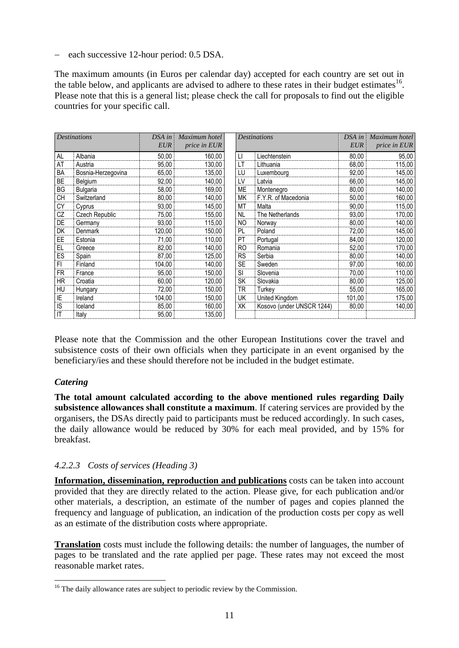- each successive 12-hour period: 0.5 DSA.

The maximum amounts (in Euros per calendar day) accepted for each country are set out in the table below, and applicants are advised to adhere to these rates in their budget estimates<sup>16</sup>. Please note that this is a general list; please check the call for proposals to find out the eligible countries for your specific call.

| <b>Destinations</b>    |                    | $DSA$ in   | Maximum hotel | <b>Destinations</b> |                           | DSA in<br><b>EUR</b> | Maximum hotel |
|------------------------|--------------------|------------|---------------|---------------------|---------------------------|----------------------|---------------|
|                        |                    | <b>EUR</b> | price in EUR  |                     |                           |                      | price in EUR  |
| AL                     | Albania            | 50,00      | 160,00        | П                   | Liechtenstein             | 80,00                | 95,00         |
| AT                     | Austria            | 95,00      | 130,00        | LT                  | Lithuania                 | 68,00                | 115,00        |
| BA                     | Bosnia-Herzegovina | 65,00      | 135,00        | LU                  | Luxembourg                | 92,00                | 145,00        |
| <b>BE</b>              | Belgium            | 92,00      | 140,00        | LV                  | Latvia                    | 66,00                | 145,00        |
| <b>BG</b>              | <b>Bulgaria</b>    | 58,00      | 169,00        | <b>ME</b>           | Montenegro                | 80,00                | 140,00        |
| CН                     | Switzerland        | 80,00      | 140,00        | МK                  | F.Y.R. of Macedonia       | 50,00                | 160,00        |
| СY                     | Cyprus             | 93,00      | 145,00        | МT                  | Malta                     | 90,00                | 115,00        |
| CZ                     | Czech Republic     | 75,00      | 155,00        | <b>NL</b>           | The Netherlands           | 93,00                | 170,00        |
| DE                     | Germany            | 93,00      | 115,00        | NO.                 | Norway                    | 80,00                | 140,00        |
| DK                     | <b>Denmark</b>     | 120,00     | 150,00        | PL                  | Poland                    | 72,00                | 145,00        |
| EE.                    | Estonia            | 71,00      | 110,00        | PT                  | Portugal                  | 84,00                | 120,00        |
| EL.                    | Greece             | 82,00      | 140,00        | <b>RO</b>           | Romania                   | 52,00                | 170,00        |
| ES                     | Spain              | 87,00      | 125,00        | RS                  | Serbia                    | 80,00                | 140,00        |
| FI.                    | Finland            | 104,00     | 140,00        | <b>SE</b>           | Sweden                    | 97,00                | 160,00        |
| <b>FR</b>              | France             | 95,00      | 150,00        | SI                  | Slovenia                  | 70,00                | 110,00        |
| <b>HR</b>              | Croatia            | 60,00      | 120,00        | <b>SK</b>           | Slovakia                  | 80,00                | 125,00        |
| HU                     | Hungary            | 72,00      | 150,00        | TR                  | Turkey                    | 55,00                | 165,00        |
| IE                     | Ireland            | 104,00     | 150,00        | <b>UK</b>           | United Kingdom            | 101,00               | 175,00        |
| IS                     | Iceland            | 85,00      | 160,00        | ХK                  | Kosovo (under UNSCR 1244) | 80,00                | 140,00        |
| $\mathsf{I}\mathsf{T}$ | Italy              | 95,00      | 135,00        |                     |                           |                      |               |

Please note that the Commission and the other European Institutions cover the travel and subsistence costs of their own officials when they participate in an event organised by the beneficiary/ies and these should therefore not be included in the budget estimate.

## *Catering*

**The total amount calculated according to the above mentioned rules regarding Daily subsistence allowances shall constitute a maximum**. If catering services are provided by the organisers, the DSAs directly paid to participants must be reduced accordingly. In such cases, the daily allowance would be reduced by 30% for each meal provided, and by 15% for breakfast.

## *4.2.2.3 Costs of services (Heading 3)*

**Information, dissemination, reproduction and publications** costs can be taken into account provided that they are directly related to the action. Please give, for each publication and/or other materials, a description, an estimate of the number of pages and copies planned the frequency and language of publication, an indication of the production costs per copy as well as an estimate of the distribution costs where appropriate.

**Translation** costs must include the following details: the number of languages, the number of pages to be translated and the rate applied per page. These rates may not exceed the most reasonable market rates.

<sup>1</sup>  $16$  The daily allowance rates are subject to periodic review by the Commission.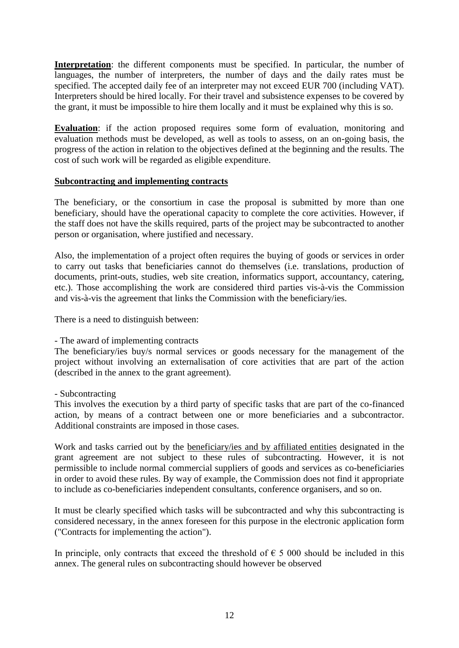**Interpretation**: the different components must be specified. In particular, the number of languages, the number of interpreters, the number of days and the daily rates must be specified. The accepted daily fee of an interpreter may not exceed EUR 700 (including VAT). Interpreters should be hired locally. For their travel and subsistence expenses to be covered by the grant, it must be impossible to hire them locally and it must be explained why this is so.

**Evaluation**: if the action proposed requires some form of evaluation, monitoring and evaluation methods must be developed, as well as tools to assess, on an on-going basis, the progress of the action in relation to the objectives defined at the beginning and the results. The cost of such work will be regarded as eligible expenditure.

### **Subcontracting and implementing contracts**

The beneficiary, or the consortium in case the proposal is submitted by more than one beneficiary, should have the operational capacity to complete the core activities. However, if the staff does not have the skills required, parts of the project may be subcontracted to another person or organisation, where justified and necessary.

Also, the implementation of a project often requires the buying of goods or services in order to carry out tasks that beneficiaries cannot do themselves (i.e. translations, production of documents, print-outs, studies, web site creation, informatics support, accountancy, catering, etc.). Those accomplishing the work are considered third parties vis-à-vis the Commission and vis-à-vis the agreement that links the Commission with the beneficiary/ies.

There is a need to distinguish between:

## - The award of implementing contracts

The beneficiary/ies buy/s normal services or goods necessary for the management of the project without involving an externalisation of core activities that are part of the action (described in the annex to the grant agreement).

- Subcontracting

This involves the execution by a third party of specific tasks that are part of the co-financed action, by means of a contract between one or more beneficiaries and a subcontractor. Additional constraints are imposed in those cases.

Work and tasks carried out by the beneficiary/ies and by affiliated entities designated in the grant agreement are not subject to these rules of subcontracting. However, it is not permissible to include normal commercial suppliers of goods and services as co-beneficiaries in order to avoid these rules. By way of example, the Commission does not find it appropriate to include as co-beneficiaries independent consultants, conference organisers, and so on.

It must be clearly specified which tasks will be subcontracted and why this subcontracting is considered necessary, in the annex foreseen for this purpose in the electronic application form ("Contracts for implementing the action").

In principle, only contracts that exceed the threshold of  $\epsilon$  5 000 should be included in this annex. The general rules on subcontracting should however be observed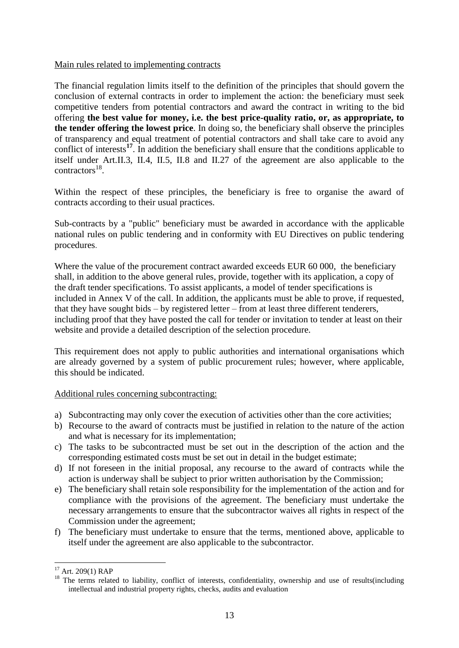#### Main rules related to implementing contracts

The financial regulation limits itself to the definition of the principles that should govern the conclusion of external contracts in order to implement the action: the beneficiary must seek competitive tenders from potential contractors and award the contract in writing to the bid offering **the best value for money, i.e. the best price-quality ratio, or, as appropriate, to the tender offering the lowest price**. In doing so, the beneficiary shall observe the principles of transparency and equal treatment of potential contractors and shall take care to avoid any conflict of interests**<sup>17</sup>** . In addition the beneficiary shall ensure that the conditions applicable to itself under Art.II.3, II.4, II.5, II.8 and II.27 of the agreement are also applicable to the  $\text{contractors}^{18}$ .

Within the respect of these principles, the beneficiary is free to organise the award of contracts according to their usual practices.

Sub-contracts by a "public" beneficiary must be awarded in accordance with the applicable national rules on public tendering and in conformity with EU Directives on public tendering procedures.

Where the value of the procurement contract awarded exceeds EUR 60 000, the beneficiary shall, in addition to the above general rules, provide, together with its application, a copy of the draft tender specifications. To assist applicants, a model of tender specifications is included in Annex V of the call. In addition, the applicants must be able to prove, if requested, that they have sought bids – by registered letter – from at least three different tenderers, including proof that they have posted the call for tender or invitation to tender at least on their website and provide a detailed description of the selection procedure.

This requirement does not apply to public authorities and international organisations which are already governed by a system of public procurement rules; however, where applicable, this should be indicated.

Additional rules concerning subcontracting:

- a) Subcontracting may only cover the execution of activities other than the core activities;
- b) Recourse to the award of contracts must be justified in relation to the nature of the action and what is necessary for its implementation;
- c) The tasks to be subcontracted must be set out in the description of the action and the corresponding estimated costs must be set out in detail in the budget estimate;
- d) If not foreseen in the initial proposal, any recourse to the award of contracts while the action is underway shall be subject to prior written authorisation by the Commission;
- e) The beneficiary shall retain sole responsibility for the implementation of the action and for compliance with the provisions of the agreement. The beneficiary must undertake the necessary arrangements to ensure that the subcontractor waives all rights in respect of the Commission under the agreement;
- f) The beneficiary must undertake to ensure that the terms, mentioned above, applicable to itself under the agreement are also applicable to the subcontractor.

 $17$  Art. 209(1) RAP

<sup>&</sup>lt;sup>18</sup> The terms related to liability, conflict of interests, confidentiality, ownership and use of results(including intellectual and industrial property rights, checks, audits and evaluation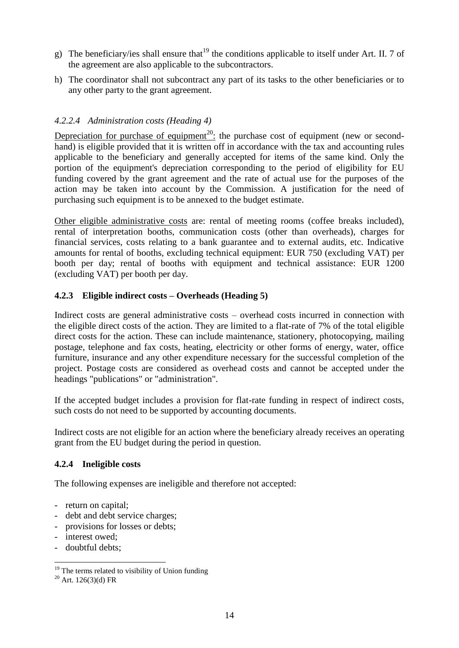- g) The beneficiary/ies shall ensure that <sup>19</sup> the conditions applicable to itself under Art. II. 7 of the agreement are also applicable to the subcontractors.
- h) The coordinator shall not subcontract any part of its tasks to the other beneficiaries or to any other party to the grant agreement.

## *4.2.2.4 Administration costs (Heading 4)*

Depreciation for purchase of equipment<sup>20</sup>: the purchase cost of equipment (new or secondhand) is eligible provided that it is written off in accordance with the tax and accounting rules applicable to the beneficiary and generally accepted for items of the same kind. Only the portion of the equipment's depreciation corresponding to the period of eligibility for EU funding covered by the grant agreement and the rate of actual use for the purposes of the action may be taken into account by the Commission. A justification for the need of purchasing such equipment is to be annexed to the budget estimate.

Other eligible administrative costs are: rental of meeting rooms (coffee breaks included), rental of interpretation booths, communication costs (other than overheads), charges for financial services, costs relating to a bank guarantee and to external audits, etc. Indicative amounts for rental of booths, excluding technical equipment: EUR 750 (excluding VAT) per booth per day; rental of booths with equipment and technical assistance: EUR 1200 (excluding VAT) per booth per day.

### **4.2.3 Eligible indirect costs – Overheads (Heading 5)**

Indirect costs are general administrative costs – overhead costs incurred in connection with the eligible direct costs of the action. They are limited to a flat-rate of 7% of the total eligible direct costs for the action. These can include maintenance, stationery, photocopying, mailing postage, telephone and fax costs, heating, electricity or other forms of energy, water, office furniture, insurance and any other expenditure necessary for the successful completion of the project. Postage costs are considered as overhead costs and cannot be accepted under the headings "publications" or "administration".

If the accepted budget includes a provision for flat-rate funding in respect of indirect costs, such costs do not need to be supported by accounting documents.

Indirect costs are not eligible for an action where the beneficiary already receives an operating grant from the EU budget during the period in question.

#### **4.2.4 Ineligible costs**

The following expenses are ineligible and therefore not accepted:

- return on capital;
- debt and debt service charges;
- provisions for losses or debts;
- interest owed;
- doubtful debts;

<u>.</u>

 $19$  The terms related to visibility of Union funding

 $^{20}$  Art. 126(3)(d) FR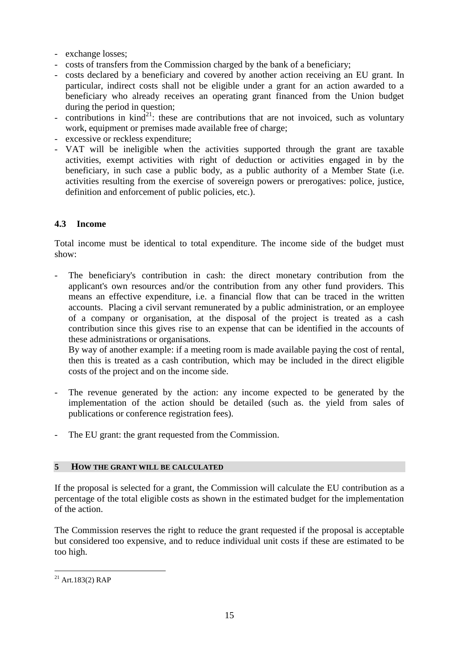- exchange losses;
- costs of transfers from the Commission charged by the bank of a beneficiary;
- costs declared by a beneficiary and covered by another action receiving an EU grant. In particular, indirect costs shall not be eligible under a grant for an action awarded to a beneficiary who already receives an operating grant financed from the Union budget during the period in question;
- contributions in  $\text{kin} \, \hat{d}^{21}$ : these are contributions that are not invoiced, such as voluntary work, equipment or premises made available free of charge;
- excessive or reckless expenditure;
- VAT will be ineligible when the activities supported through the grant are taxable activities, exempt activities with right of deduction or activities engaged in by the beneficiary, in such case a public body, as a public authority of a Member State (i.e. activities resulting from the exercise of sovereign powers or prerogatives: police, justice, definition and enforcement of public policies, etc.).

## **4.3 Income**

Total income must be identical to total expenditure. The income side of the budget must show:

The beneficiary's contribution in cash: the direct monetary contribution from the applicant's own resources and/or the contribution from any other fund providers. This means an effective expenditure, i.e. a financial flow that can be traced in the written accounts. Placing a civil servant remunerated by a public administration, or an employee of a company or organisation, at the disposal of the project is treated as a cash contribution since this gives rise to an expense that can be identified in the accounts of these administrations or organisations.

By way of another example: if a meeting room is made available paying the cost of rental, then this is treated as a cash contribution, which may be included in the direct eligible costs of the project and on the income side.

- The revenue generated by the action: any income expected to be generated by the implementation of the action should be detailed (such as. the yield from sales of publications or conference registration fees).
- The EU grant: the grant requested from the Commission.

#### **5 HOW THE GRANT WILL BE CALCULATED**

If the proposal is selected for a grant, the Commission will calculate the EU contribution as a percentage of the total eligible costs as shown in the estimated budget for the implementation of the action.

The Commission reserves the right to reduce the grant requested if the proposal is acceptable but considered too expensive, and to reduce individual unit costs if these are estimated to be too high.

 $^{21}$  Art.183(2) RAP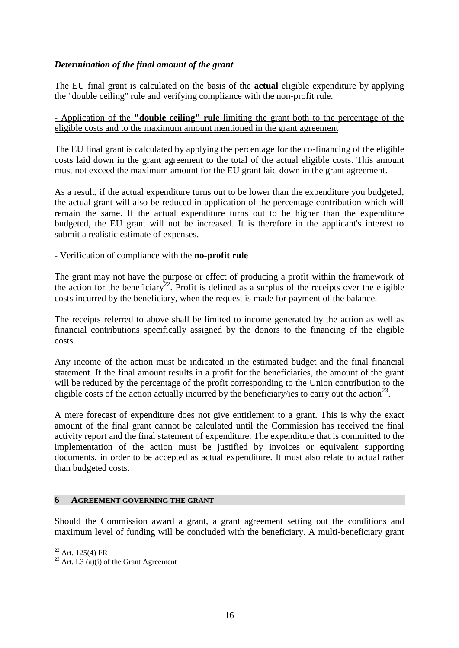## *Determination of the final amount of the grant*

The EU final grant is calculated on the basis of the **actual** eligible expenditure by applying the "double ceiling" rule and verifying compliance with the non-profit rule.

- Application of the **"double ceiling" rule** limiting the grant both to the percentage of the eligible costs and to the maximum amount mentioned in the grant agreement

The EU final grant is calculated by applying the percentage for the co-financing of the eligible costs laid down in the grant agreement to the total of the actual eligible costs. This amount must not exceed the maximum amount for the EU grant laid down in the grant agreement.

As a result, if the actual expenditure turns out to be lower than the expenditure you budgeted, the actual grant will also be reduced in application of the percentage contribution which will remain the same. If the actual expenditure turns out to be higher than the expenditure budgeted, the EU grant will not be increased. It is therefore in the applicant's interest to submit a realistic estimate of expenses.

#### - Verification of compliance with the **no-profit rule**

The grant may not have the purpose or effect of producing a profit within the framework of the action for the beneficiary<sup>22</sup>. Profit is defined as a surplus of the receipts over the eligible costs incurred by the beneficiary, when the request is made for payment of the balance.

The receipts referred to above shall be limited to income generated by the action as well as financial contributions specifically assigned by the donors to the financing of the eligible costs.

Any income of the action must be indicated in the estimated budget and the final financial statement. If the final amount results in a profit for the beneficiaries, the amount of the grant will be reduced by the percentage of the profit corresponding to the Union contribution to the eligible costs of the action actually incurred by the beneficiary/ies to carry out the action<sup>23</sup>.

A mere forecast of expenditure does not give entitlement to a grant. This is why the exact amount of the final grant cannot be calculated until the Commission has received the final activity report and the final statement of expenditure. The expenditure that is committed to the implementation of the action must be justified by invoices or equivalent supporting documents, in order to be accepted as actual expenditure. It must also relate to actual rather than budgeted costs.

#### **6 AGREEMENT GOVERNING THE GRANT**

Should the Commission award a grant, a grant agreement setting out the conditions and maximum level of funding will be concluded with the beneficiary. A multi-beneficiary grant

 $22$  Art. 125(4) FR

<sup>&</sup>lt;sup>23</sup> Art. I.3 (a)(i) of the Grant Agreement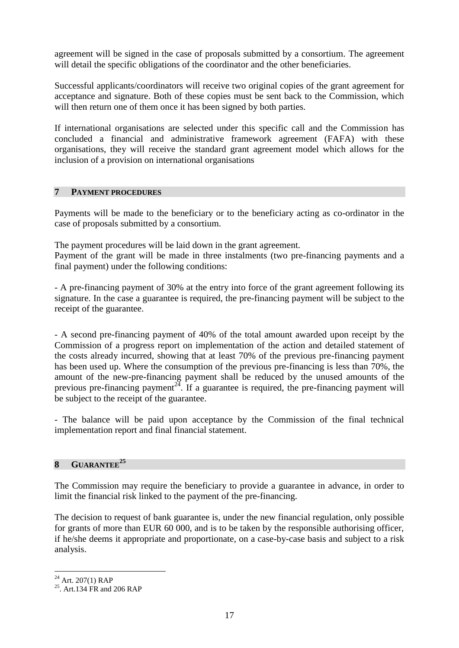agreement will be signed in the case of proposals submitted by a consortium. The agreement will detail the specific obligations of the coordinator and the other beneficiaries.

Successful applicants/coordinators will receive two original copies of the grant agreement for acceptance and signature. Both of these copies must be sent back to the Commission, which will then return one of them once it has been signed by both parties.

If international organisations are selected under this specific call and the Commission has concluded a financial and administrative framework agreement (FAFA) with these organisations, they will receive the standard grant agreement model which allows for the inclusion of a provision on international organisations

#### **7 PAYMENT PROCEDURES**

Payments will be made to the beneficiary or to the beneficiary acting as co-ordinator in the case of proposals submitted by a consortium.

The payment procedures will be laid down in the grant agreement. Payment of the grant will be made in three instalments (two pre-financing payments and a final payment) under the following conditions:

- A pre-financing payment of 30% at the entry into force of the grant agreement following its signature. In the case a guarantee is required, the pre-financing payment will be subject to the receipt of the guarantee.

- A second pre-financing payment of 40% of the total amount awarded upon receipt by the Commission of a progress report on implementation of the action and detailed statement of the costs already incurred, showing that at least 70% of the previous pre-financing payment has been used up. Where the consumption of the previous pre-financing is less than 70%, the amount of the new-pre-financing payment shall be reduced by the unused amounts of the previous pre-financing payment<sup>24</sup>. If a guarantee is required, the pre-financing payment will be subject to the receipt of the guarantee.

- The balance will be paid upon acceptance by the Commission of the final technical implementation report and final financial statement.

#### **8 GUARANTEE<sup>25</sup>**

The Commission may require the beneficiary to provide a guarantee in advance, in order to limit the financial risk linked to the payment of the pre-financing.

The decision to request of bank guarantee is, under the new financial regulation, only possible for grants of more than EUR 60 000, and is to be taken by the responsible authorising officer, if he/she deems it appropriate and proportionate, on a case-by-case basis and subject to a risk analysis.

<u>.</u>

<sup>&</sup>lt;sup>24</sup> Art. 207(1) RAP<br><sup>25</sup>. Art.134 FR and 206 RAP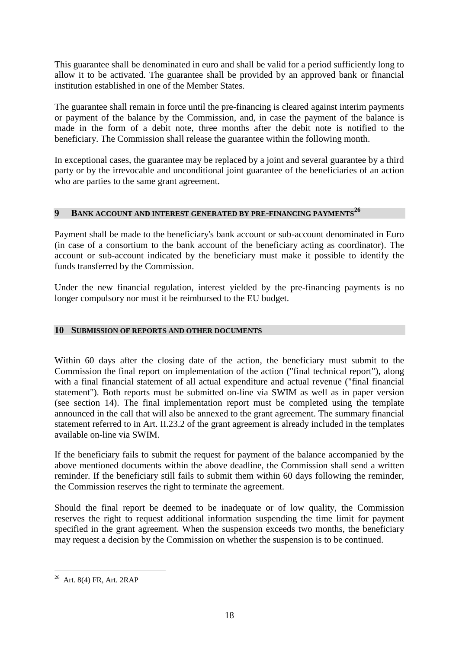This guarantee shall be denominated in euro and shall be valid for a period sufficiently long to allow it to be activated. The guarantee shall be provided by an approved bank or financial institution established in one of the Member States.

The guarantee shall remain in force until the pre-financing is cleared against interim payments or payment of the balance by the Commission, and, in case the payment of the balance is made in the form of a debit note, three months after the debit note is notified to the beneficiary. The Commission shall release the guarantee within the following month.

In exceptional cases, the guarantee may be replaced by a joint and several guarantee by a third party or by the irrevocable and unconditional joint guarantee of the beneficiaries of an action who are parties to the same grant agreement.

## **9 BANK ACCOUNT AND INTEREST GENERATED BY PRE-FINANCING PAYMENTS<sup>26</sup>**

Payment shall be made to the beneficiary's bank account or sub-account denominated in Euro (in case of a consortium to the bank account of the beneficiary acting as coordinator). The account or sub-account indicated by the beneficiary must make it possible to identify the funds transferred by the Commission.

Under the new financial regulation, interest yielded by the pre-financing payments is no longer compulsory nor must it be reimbursed to the EU budget.

#### **10 SUBMISSION OF REPORTS AND OTHER DOCUMENTS**

Within 60 days after the closing date of the action, the beneficiary must submit to the Commission the final report on implementation of the action ("final technical report"), along with a final financial statement of all actual expenditure and actual revenue ("final financial statement"). Both reports must be submitted on-line via SWIM as well as in paper version (see section 14). The final implementation report must be completed using the template announced in the call that will also be annexed to the grant agreement. The summary financial statement referred to in Art. II.23.2 of the grant agreement is already included in the templates available on-line via SWIM.

If the beneficiary fails to submit the request for payment of the balance accompanied by the above mentioned documents within the above deadline, the Commission shall send a written reminder. If the beneficiary still fails to submit them within 60 days following the reminder, the Commission reserves the right to terminate the agreement.

Should the final report be deemed to be inadequate or of low quality, the Commission reserves the right to request additional information suspending the time limit for payment specified in the grant agreement. When the suspension exceeds two months, the beneficiary may request a decision by the Commission on whether the suspension is to be continued.

<sup>1</sup>  $26$  Art. 8(4) FR, Art. 2RAP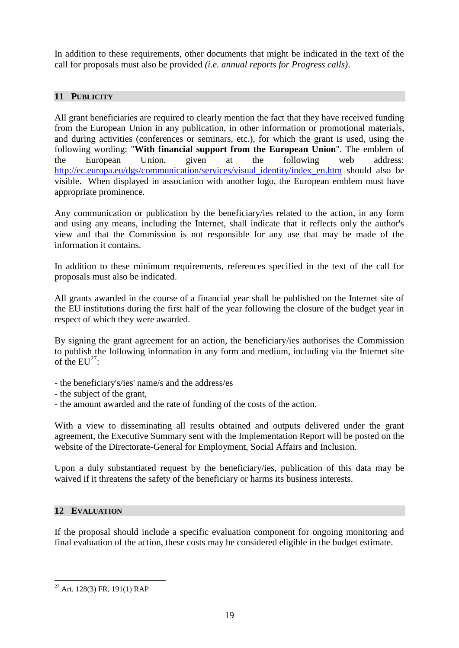In addition to these requirements, other documents that might be indicated in the text of the call for proposals must also be provided *(i.e. annual reports for Progress calls)*.

## **11 PUBLICITY**

All grant beneficiaries are required to clearly mention the fact that they have received funding from the European Union in any publication, in other information or promotional materials, and during activities (conferences or seminars, etc.), for which the grant is used, using the following wording: "**With financial support from the European Union**". The emblem of the European Union, given at the following web address: http://ec.europa.eu/dgs/communication/services/visual identity/index en.htm should also be visible. When displayed in association with another logo, the European emblem must have appropriate prominence.

Any communication or publication by the beneficiary/ies related to the action, in any form and using any means, including the Internet, shall indicate that it reflects only the author's view and that the Commission is not responsible for any use that may be made of the information it contains.

In addition to these minimum requirements, references specified in the text of the call for proposals must also be indicated.

All grants awarded in the course of a financial year shall be published on the Internet site of the EU institutions during the first half of the year following the closure of the budget year in respect of which they were awarded.

By signing the grant agreement for an action, the beneficiary/ies authorises the Commission to publish the following information in any form and medium, including via the Internet site of the  $EU^{27}$ :

- the beneficiary's/ies' name/s and the address/es
- the subject of the grant,
- the amount awarded and the rate of funding of the costs of the action.

With a view to disseminating all results obtained and outputs delivered under the grant agreement, the Executive Summary sent with the Implementation Report will be posted on the website of the Directorate-General for Employment, Social Affairs and Inclusion.

Upon a duly substantiated request by the beneficiary/ies, publication of this data may be waived if it threatens the safety of the beneficiary or harms its business interests.

## **12 EVALUATION**

1

If the proposal should include a specific evaluation component for ongoing monitoring and final evaluation of the action, these costs may be considered eligible in the budget estimate.

 $27$  Art. 128(3) FR, 191(1) RAP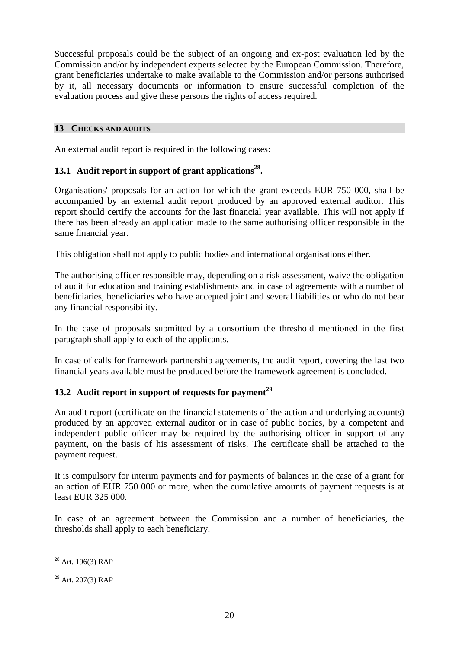Successful proposals could be the subject of an ongoing and ex-post evaluation led by the Commission and/or by independent experts selected by the European Commission. Therefore, grant beneficiaries undertake to make available to the Commission and/or persons authorised by it, all necessary documents or information to ensure successful completion of the evaluation process and give these persons the rights of access required.

## **13 CHECKS AND AUDITS**

An external audit report is required in the following cases:

## **13.1 Audit report in support of grant applications<sup>28</sup> .**

Organisations' proposals for an action for which the grant exceeds EUR 750 000, shall be accompanied by an external audit report produced by an approved external auditor. This report should certify the accounts for the last financial year available. This will not apply if there has been already an application made to the same authorising officer responsible in the same financial year.

This obligation shall not apply to public bodies and international organisations either.

The authorising officer responsible may, depending on a risk assessment, waive the obligation of audit for education and training establishments and in case of agreements with a number of beneficiaries, beneficiaries who have accepted joint and several liabilities or who do not bear any financial responsibility.

In the case of proposals submitted by a consortium the threshold mentioned in the first paragraph shall apply to each of the applicants.

In case of calls for framework partnership agreements, the audit report, covering the last two financial years available must be produced before the framework agreement is concluded.

## **13.2 Audit report in support of requests for payment<sup>29</sup>**

An audit report (certificate on the financial statements of the action and underlying accounts) produced by an approved external auditor or in case of public bodies, by a competent and independent public officer may be required by the authorising officer in support of any payment, on the basis of his assessment of risks. The certificate shall be attached to the payment request.

It is compulsory for interim payments and for payments of balances in the case of a grant for an action of EUR 750 000 or more, when the cumulative amounts of payment requests is at least EUR 325 000.

In case of an agreement between the Commission and a number of beneficiaries, the thresholds shall apply to each beneficiary.

<u>.</u>

 $28$  Art. 196(3) RAP

 $^{29}$  Art. 207(3) RAP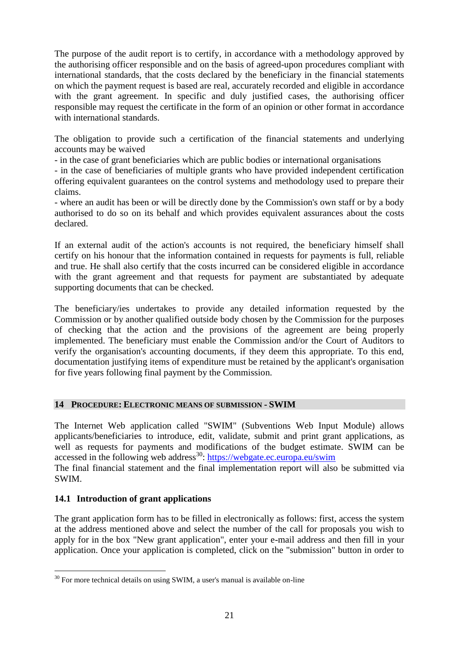The purpose of the audit report is to certify, in accordance with a methodology approved by the authorising officer responsible and on the basis of agreed-upon procedures compliant with international standards, that the costs declared by the beneficiary in the financial statements on which the payment request is based are real, accurately recorded and eligible in accordance with the grant agreement. In specific and duly justified cases, the authorising officer responsible may request the certificate in the form of an opinion or other format in accordance with international standards.

The obligation to provide such a certification of the financial statements and underlying accounts may be waived

- in the case of grant beneficiaries which are public bodies or international organisations

- in the case of beneficiaries of multiple grants who have provided independent certification offering equivalent guarantees on the control systems and methodology used to prepare their claims.

- where an audit has been or will be directly done by the Commission's own staff or by a body authorised to do so on its behalf and which provides equivalent assurances about the costs declared.

If an external audit of the action's accounts is not required, the beneficiary himself shall certify on his honour that the information contained in requests for payments is full, reliable and true. He shall also certify that the costs incurred can be considered eligible in accordance with the grant agreement and that requests for payment are substantiated by adequate supporting documents that can be checked.

The beneficiary/ies undertakes to provide any detailed information requested by the Commission or by another qualified outside body chosen by the Commission for the purposes of checking that the action and the provisions of the agreement are being properly implemented. The beneficiary must enable the Commission and/or the Court of Auditors to verify the organisation's accounting documents, if they deem this appropriate. To this end, documentation justifying items of expenditure must be retained by the applicant's organisation for five years following final payment by the Commission.

## **14 PROCEDURE: ELECTRONIC MEANS OF SUBMISSION - SWIM**

The Internet Web application called "SWIM" (Subventions Web Input Module) allows applicants/beneficiaries to introduce, edit, validate, submit and print grant applications, as well as requests for payments and modifications of the budget estimate. SWIM can be accessed in the following web address<sup>30</sup>:<https://webgate.ec.europa.eu/swim> The final financial statement and the final implementation report will also be submitted via SWIM.

## **14.1 Introduction of grant applications**

1

The grant application form has to be filled in electronically as follows: first, access the system at the address mentioned above and select the number of the call for proposals you wish to apply for in the box "New grant application", enter your e-mail address and then fill in your application. Once your application is completed, click on the "submission" button in order to

 $30$  For more technical details on using SWIM, a user's manual is available on-line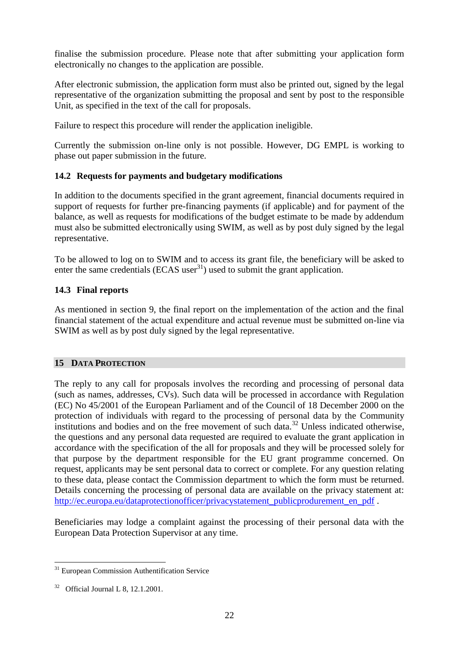finalise the submission procedure. Please note that after submitting your application form electronically no changes to the application are possible.

After electronic submission, the application form must also be printed out, signed by the legal representative of the organization submitting the proposal and sent by post to the responsible Unit, as specified in the text of the call for proposals.

Failure to respect this procedure will render the application ineligible.

Currently the submission on-line only is not possible. However, DG EMPL is working to phase out paper submission in the future.

## **14.2 Requests for payments and budgetary modifications**

In addition to the documents specified in the grant agreement, financial documents required in support of requests for further pre-financing payments (if applicable) and for payment of the balance, as well as requests for modifications of the budget estimate to be made by addendum must also be submitted electronically using SWIM, as well as by post duly signed by the legal representative.

To be allowed to log on to SWIM and to access its grant file, the beneficiary will be asked to enter the same credentials (ECAS user $31$ ) used to submit the grant application.

## **14.3 Final reports**

As mentioned in section 9, the final report on the implementation of the action and the final financial statement of the actual expenditure and actual revenue must be submitted on-line via SWIM as well as by post duly signed by the legal representative.

## **15 DATA PROTECTION**

The reply to any call for proposals involves the recording and processing of personal data (such as names, addresses, CVs). Such data will be processed in accordance with Regulation (EC) No 45/2001 of the European Parliament and of the Council of 18 December 2000 on the protection of individuals with regard to the processing of personal data by the Community institutions and bodies and on the free movement of such data.<sup>32</sup> Unless indicated otherwise, the questions and any personal data requested are required to evaluate the grant application in accordance with the specification of the all for proposals and they will be processed solely for that purpose by the department responsible for the EU grant programme concerned. On request, applicants may be sent personal data to correct or complete. For any question relating to these data, please contact the Commission department to which the form must be returned. Details concerning the processing of personal data are available on the privacy statement at: [http://ec.europa.eu/dataprotectionofficer/privacystatement\\_publicprodurement\\_en\\_pdf](http://ec.europa.eu/dataprotectionofficer/privacystatement_publicprodurement_en_pdf) .

Beneficiaries may lodge a complaint against the processing of their personal data with the European Data Protection Supervisor at any time.

<u>.</u>

<sup>&</sup>lt;sup>31</sup> European Commission Authentification Service

<sup>32</sup> Official Journal L 8, 12.1.2001.